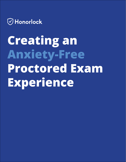

# **Creating an Anxiety-Free Proctored Exam Experience**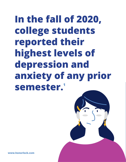## **In the fall of 2020, college students reported their highest levels of depression and anxiety of any prior semester.1**

**[www.honorlock.com](http://www.honorlock.com)**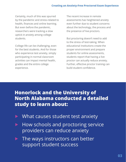Certainly, much of this was spurred by the pandemic and stress-related to health, finances and online learning. But even before the pandemic, researchers were tracking a slow uptick in anxiety among college students.

College life can be challenging, even for the best students. And for those who experience test anxiety, simply participating in normal classroom activities can impact mental health, grades and the entire college experience.

The recent increase in remote assessments has heightened anxiety even further due to student concerns about the technology, the process and the presence of live proctors.

But proctoring doesn't need to add to the stress of test-taking. When educational institutions create the proper environment and prepare students for online assessments, students report that having a live proctor can actually reduce anxiety. Further, effective proctor training can build student confidence.

**Honorlock and the University of North Alabama conducted a detailed study to learn about:** 

- What causes student test anxiety
- ▶ How schools and proctoring service providers can reduce anxiety
- $\blacktriangleright$  The ways instructors can better support student success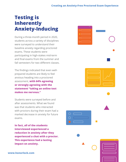## **Testing is Inherently Anxiety-Inducing**

During a three-month period in 2020, students across a variety of disciplines were surveyed to understand their baseline anxiety regarding proctored exams. These students were participating in high-stakes mid-term and final exams from the summer and fall semesters for two different classes.

The findings indicated that even wellprepared students are likely to feel anxious heading into a proctored assessment, **with 64% agreeing or strongly agreeing with the statement "taking an online test makes me nervous."**

Students were surveyed before and after assessments. What we found was that students who interacted with proctors during their exam had a marked decrease in anxiety for future exams.

**In fact, all of the students interviewed experienced a reduction in anxiety after they experienced a chat with a proctor. This experience had a lasting impact on anxiety.**

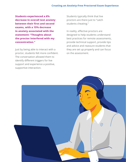#### **Creating an Anxiety-Free Proctored Exam Experience**

**Students experienced a 6% decrease in overall test anxiety between their first and second exams, with a 15% decrease in anxiety associated with the statement: "Thoughts about the proctor interfered with my concentration."** 

Just by being able to interact with a proctor, students felt more confident. The conversation allowed them to identify different triggers for live support and experience a positive, supportive interaction.

Students typically think that live proctors are there just to "catch students cheating."

In reality, effective proctors are designed to help students understand best practices for remote assessments, provide technical support, provide tips and advice and reassure students that they are set up properly and can focus on the assessment.

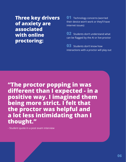**Three key drivers of anxiety are associated with online proctoring:**

**01** Technology concerns (worried their device won't work or they'll have internet issues)

**02** Students don't understand what can be flagged by the AI or live proctor

**03** Students don't know how interactions with a proctor will play out

**"The proctor popping in was different than I expected - in a positive way. I imagined them being more strict. I felt that the proctor was helpful and a lot less intimidating than I thought."**

- Student quote in a post exam interview

**[www.honorlock.com](http://www.honorlock.com)**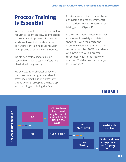### **Proctor Training Is Essential**

With the role of the proctor essential to reducing student anxiety, it's important to properly train proctors. During our study, we looked at whether or not better proctor training could result in an improved experience for students.

We started by looking at existing research on how stress manifests itself physically during testing.2

We selected four physical behaviors that most reliably signal a student in stress including lip licking, excessive throat clearing, propping the head up and touching or rubbing the face.

Proctors were trained to spot these behaviors and proactively interact with students using a reassuring set of talking points (Figure 1).

In the intervention group, there was a decrease in anxiety associated specifically with the proctoring experience between their first and second exam. And 100% of students who interacted with a proctor responded "Yes" to the interview question "Did the proctor make you less anxious?"<sup>3</sup>

#### **FIGURE 1**

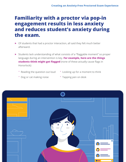## **Familiarity with a proctor via pop-in engagement results in less anxiety and reduces student's anxiety during the exam.**

- ▶ Of students that had a proctor interaction, all said they felt much better afterward.
- ▶ Students lack understanding of what consists of a "flaggable moment" so proper language during an intervention is key. **For example, here are the things students think might get flagged** (none of these actually cause flags in Honorlock):
	- ° Reading the question out loud
- ° Looking up for a moment to think
- ° Dog or cat making noise
- ° Tapping pen on desk

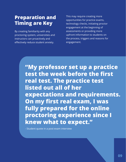## **Preparation and Timing are Key**

By creating familiarity with any proctoring system, universities and instructors can proactively and effectively reduce student anxiety.

This may require creating more opportunities for practice exams, technology checks, initiating proctor engagement at the beginning of assessments or providing more upfront information to students on the process, triggers and reasons for engagement.

**"My professor set up a practice test the week before the first real test. The practice test listed out all of her expectations and requirements. On my first real exam, I was fully prepared for the online proctoring experience since I knew what to expect."**

- Student quote in a post exam interview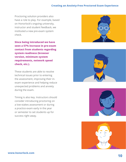#### **Creating an Anxiety-Free Proctored Exam Experience**

Proctoring solution providers also have a role to play. For example, based on Honorlock's ongoing university, instructor and student feedback, we instituted a new pre-exam system check.

**Since being introduced we have seen a 57% increase in pre-exam contact from students regarding system readiness (browser version, minimum system requirements, network speed check, etc.).**

These students are able to resolve technical issues prior to entering the assessment, improving their inexam experience and helping reduce unexpected problems and anxiety during the exam.

Timing is also key. Instructors should consider introducing proctoring on a low-stakes assessment or during a practice exam early in the year or semester to set students up for success right away.







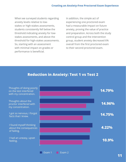When we surveyed students regarding anxiety levels relative to lowstakes or high-stakes assessments, students consistently fell below the threshold indicating anxiety for lowstakes assessments, and above the threshold for high-stakes assessments. So, starting with an assessment with minimal impact on grades or performance is beneficial.

In addition, the simple act of experiencing one proctored exam had a measurable impact on future anxiety, proving the value of practice and preparation. Across both the study control group and the intervention group, student anxiety decreased 6% overall from the first proctored exam to their second proctored exam.

#### **Reduction in Anxiety: Test 1 vs Test 2**



Exam 1 Exam 2

Thoughts of doing poorly on the test interfered with my concentration.

Thoughts about the proctor interfered with my concentration.

I got so nervous, I forgot facts that I knew.

I found myself thinking about the consequences of failing.

I had an uneasy, upset feeling.

**10 11**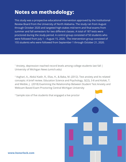#### **Notes on methodology:**

This study was a prospective educational intervention approved by the Institutional Review Board from the University of North Alabama. The study ran from August through October 2020 and targeted high-stakes mid-term and final exams from summer and fall semesters for two different classes. A total of 187 tests were proctored during the study period. A control group consisted of 50 students who were followed from July 1 – August 15, 2020. The intervention group consisted of 155 students who were followed from September 1 through October 21, 2020.

<sup>1</sup> Anxiety, depression reached record levels among college students last fall | [University of Michigan News \(umich.edu\)](https://news.umich.edu/anxiety-depression-reached-record-levels-among-college-students-last-fall/)

2 Asghari, A., Abdul Kadir, R., Elias, H., & Baba, M. (2012). Test anxiety and its related concepts: A brief review. Education Science and Psychology, 3(22), 3-8 and Kolski, T. and Weible. J. (2018) Examining the Relationship Between Student Test Anxiety and Webcam Based Exam Proctoring Central Michigan University

<sup>3</sup> Sample size of five students that engaged a live proctor